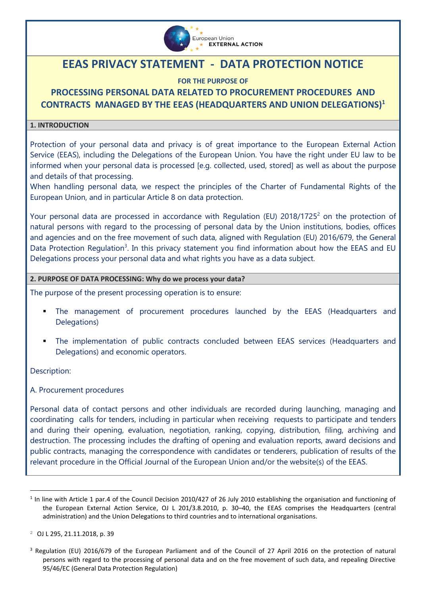

# **EEAS PRIVACY STATEMENT - DATA PROTECTION NOTICE**

# **FOR THE PURPOSE OF**

# **PROCESSING PERSONAL DATA RELATED TO PROCUREMENT PROCEDURES AND CONTRACTS MANAGED BY THE EEAS (HEADQUARTERS AND UNION DELEGATIONS)<sup>1</sup>**

### **1. INTRODUCTION**

Protection of your personal data and privacy is of great importance to the European External Action Service (EEAS), including the Delegations of the European Union. You have the right under EU law to be informed when your personal data is processed [e.g. collected, used, stored] as well as about the purpose and details of that processing.

When handling personal data, we respect the principles of the Charter of Fundamental Rights of the European Union, and in particular Article 8 on data protection.

Your personal data are processed in accordance with Regulation (EU) 2018/1725<sup>2</sup> on the protection of natural persons with regard to the processing of personal data by the Union institutions, bodies, offices and agencies and on the free movement of such data, aligned with Regulation (EU) 2016/679, the General Data Protection Regulation<sup>3</sup>. In this privacy statement you find information about how the EEAS and EU Delegations process your personal data and what rights you have as a data subject.

### **2. PURPOSE OF DATA PROCESSING: Why do we process your data?**

The purpose of the present processing operation is to ensure:

- The management of procurement procedures launched by the EEAS (Headquarters and Delegations)
- The implementation of public contracts concluded between EEAS services (Headquarters and Delegations) and economic operators.

Description:

i<br>L

A. Procurement procedures

Personal data of contact persons and other individuals are recorded during launching, managing and coordinating calls for tenders, including in particular when receiving requests to participate and tenders and during their opening, evaluation, negotiation, ranking, copying, distribution, filing, archiving and destruction. The processing includes the drafting of opening and evaluation reports, award decisions and public contracts, managing the correspondence with candidates or tenderers, publication of results of the relevant procedure in the Official Journal of the European Union and/or the website(s) of the EEAS.

 $<sup>1</sup>$  In line with Article 1 par.4 of the Council Decision 2010/427 of 26 July 2010 establishing the organisation and functioning of</sup> the European External Action Service, OJ L 201/3.8.2010, p. 30–40, the EEAS comprises the Headquarters (central administration) and the Union Delegations to third countries and to international organisations.

<sup>2</sup> OJ L 295, 21.11.2018, p. 39

<sup>3</sup> Regulation (EU) 2016/679 of the European Parliament and of the Council of 27 April 2016 on the protection of natural persons with regard to the processing of personal data and on the free movement of such data, and repealing Directive 95/46/EC (General Data Protection Regulation)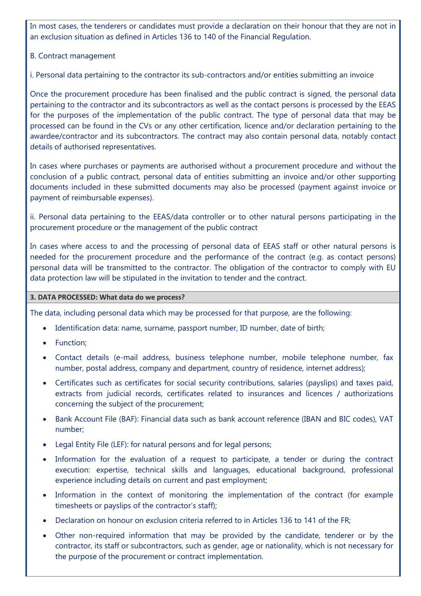In most cases, the tenderers or candidates must provide a declaration on their honour that they are not in an exclusion situation as defined in Articles 136 to 140 of the Financial Regulation.

# B. Contract management

i. Personal data pertaining to the contractor its sub-contractors and/or entities submitting an invoice

Once the procurement procedure has been finalised and the public contract is signed, the personal data pertaining to the contractor and its subcontractors as well as the contact persons is processed by the EEAS for the purposes of the implementation of the public contract. The type of personal data that may be processed can be found in the CVs or any other certification, licence and/or declaration pertaining to the awardee/contractor and its subcontractors. The contract may also contain personal data, notably contact details of authorised representatives.

In cases where purchases or payments are authorised without a procurement procedure and without the conclusion of a public contract, personal data of entities submitting an invoice and/or other supporting documents included in these submitted documents may also be processed (payment against invoice or payment of reimbursable expenses).

ii. Personal data pertaining to the EEAS/data controller or to other natural persons participating in the procurement procedure or the management of the public contract

In cases where access to and the processing of personal data of EEAS staff or other natural persons is needed for the procurement procedure and the performance of the contract (e.g. as contact persons) personal data will be transmitted to the contractor. The obligation of the contractor to comply with EU data protection law will be stipulated in the invitation to tender and the contract.

#### **3. DATA PROCESSED: What data do we process?**

The data, including personal data which may be processed for that purpose, are the following:

- Identification data: name, surname, passport number, ID number, date of birth;
- Function;
- Contact details (e-mail address, business telephone number, mobile telephone number, fax number, postal address, company and department, country of residence, internet address);
- Certificates such as certificates for social security contributions, salaries (payslips) and taxes paid, extracts from judicial records, certificates related to insurances and licences / authorizations concerning the subject of the procurement;
- Bank Account File (BAF): Financial data such as bank account reference (IBAN and BIC codes), VAT number;
- Legal Entity File (LEF): for natural persons and for legal persons;
- Information for the evaluation of a request to participate, a tender or during the contract execution: expertise, technical skills and languages, educational background, professional experience including details on current and past employment;
- Information in the context of monitoring the implementation of the contract (for example timesheets or payslips of the contractor's staff);
- Declaration on honour on exclusion criteria referred to in Articles 136 to 141 of the FR;
- Other non-required information that may be provided by the candidate, tenderer or by the contractor, its staff or subcontractors, such as gender, age or nationality, which is not necessary for the purpose of the procurement or contract implementation.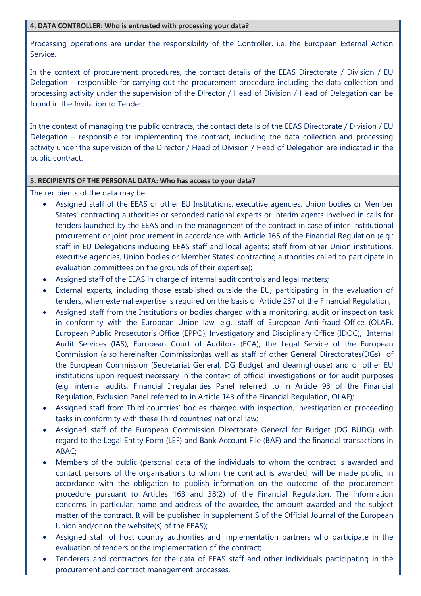#### **4. DATA CONTROLLER: Who is entrusted with processing your data?**

Processing operations are under the responsibility of the Controller, i.e. the European External Action Service.

In the context of procurement procedures, the contact details of the EEAS Directorate / Division / EU Delegation – responsible for carrying out the procurement procedure including the data collection and processing activity under the supervision of the Director / Head of Division / Head of Delegation can be found in the Invitation to Tender.

In the context of managing the public contracts, the contact details of the EEAS Directorate / Division / EU Delegation – responsible for implementing the contract, including the data collection and processing activity under the supervision of the Director / Head of Division / Head of Delegation are indicated in the public contract.

# **5. RECIPIENTS OF THE PERSONAL DATA: Who has access to your data?**

The recipients of the data may be:

- Assigned staff of the EEAS or other EU Institutions, executive agencies, Union bodies or Member States' contracting authorities or seconded national experts or interim agents involved in calls for tenders launched by the EEAS and in the management of the contract in case of inter-institutional procurement or joint procurement in accordance with Article 165 of the Financial Regulation (e.g.: staff in EU Delegations including EEAS staff and local agents; staff from other Union institutions, executive agencies, Union bodies or Member States' contracting authorities called to participate in evaluation committees on the grounds of their expertise);
- Assigned staff of the EEAS in charge of internal audit controls and legal matters;
- External experts, including those established outside the EU, participating in the evaluation of tenders, when external expertise is required on the basis of Article 237 of the Financial Regulation;
- Assigned staff from the Institutions or bodies charged with a monitoring, audit or inspection task in conformity with the European Union law. e.g.: staff of European Anti-fraud Office (OLAF), European Public Prosecutor's Office (EPPO), Investigatory and Disciplinary Office (IDOC), Internal Audit Services (IAS), European Court of Auditors (ECA), the Legal Service of the European Commission (also hereinafter Commission)as well as staff of other General Directorates(DGs) of the European Commission (Secretariat General, DG Budget and clearinghouse) and of other EU institutions upon request necessary in the context of official investigations or for audit purposes (e.g. internal audits, Financial Irregularities Panel referred to in Article 93 of the Financial Regulation, Exclusion Panel referred to in Article 143 of the Financial Regulation, OLAF);
- Assigned staff from Third countries' bodies charged with inspection, investigation or proceeding tasks in conformity with these Third countries' national law;
- Assigned staff of the European Commission Directorate General for Budget (DG BUDG) with regard to the Legal Entity Form (LEF) and Bank Account File (BAF) and the financial transactions in ABAC;
- Members of the public (personal data of the individuals to whom the contract is awarded and contact persons of the organisations to whom the contract is awarded, will be made public, in accordance with the obligation to publish information on the outcome of the procurement procedure pursuant to Articles 163 and 38(2) of the Financial Regulation. The information concerns, in particular, name and address of the awardee, the amount awarded and the subject matter of the contract. It will be published in supplement S of the Official Journal of the European Union and/or on the website(s) of the EEAS);
- Assigned staff of host country authorities and implementation partners who participate in the evaluation of tenders or the implementation of the contract;
- Tenderers and contractors for the data of EEAS staff and other individuals participating in the procurement and contract management processes.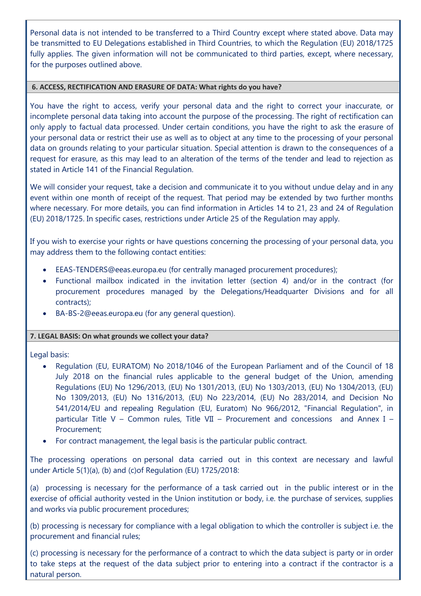Personal data is not intended to be transferred to a Third Country except where stated above. Data may be transmitted to EU Delegations established in Third Countries, to which the Regulation (EU) 2018/1725 fully applies. The given information will not be communicated to third parties, except, where necessary, for the purposes outlined above.

### **6. ACCESS, RECTIFICATION AND ERASURE OF DATA: What rights do you have?**

You have the right to access, verify your personal data and the right to correct your inaccurate, or incomplete personal data taking into account the purpose of the processing. The right of rectification can only apply to factual data processed. Under certain conditions, you have the right to ask the erasure of your personal data or restrict their use as well as to object at any time to the processing of your personal data on grounds relating to your particular situation. Special attention is drawn to the consequences of a request for erasure, as this may lead to an alteration of the terms of the tender and lead to rejection as stated in Article 141 of the Financial Regulation.

We will consider your request, take a decision and communicate it to you without undue delay and in any event within one month of receipt of the request. That period may be extended by two further months where necessary. For more details, you can find information in Articles 14 to 21, 23 and 24 of Regulation (EU) 2018/1725. In specific cases, restrictions under Article 25 of the Regulation may apply.

If you wish to exercise your rights or have questions concerning the processing of your personal data, you may address them to the following contact entities:

- [EEAS-TENDERS@eeas.europa.eu](mailto:EEAS-TENDERS@eeas.europa.eu) (for centrally managed procurement procedures);
- Functional mailbox indicated in the invitation letter (section 4) and/or in the contract (for procurement procedures managed by the Delegations/Headquarter Divisions and for all contracts);
- BA-BS-2@eeas.europa.eu (for any general question).

# **7. LEGAL BASIS: On what grounds we collect your data?**

Legal basis:

- Regulation (EU, EURATOM) No 2018/1046 of the European Parliament and of the Council of 18 July 2018 on the financial rules applicable to the general budget of the Union, amending Regulations (EU) No 1296/2013, (EU) No 1301/2013, (EU) No 1303/2013, (EU) No 1304/2013, (EU) No 1309/2013, (EU) No 1316/2013, (EU) No 223/2014, (EU) No 283/2014, and Decision No 541/2014/EU and repealing Regulation (EU, Euratom) No 966/2012, "Financial Regulation", in particular Title V – Common rules, Title VII – Procurement and concessions and Annex I – Procurement;
- For contract management, the legal basis is the particular public contract.

The processing operations on personal data carried out in this context are necessary and lawful under Article 5(1)(a), (b) and (c)of Regulation (EU) 1725/2018:

(a) processing is necessary for the performance of a task carried out in the public interest or in the exercise of official authority vested in the Union institution or body, i.e. the purchase of services, supplies and works via public procurement procedures;

(b) processing is necessary for compliance with a legal obligation to which the controller is subject i.e. the procurement and financial rules;

(c) processing is necessary for the performance of a contract to which the data subject is party or in order to take steps at the request of the data subject prior to entering into a contract if the contractor is a natural person.